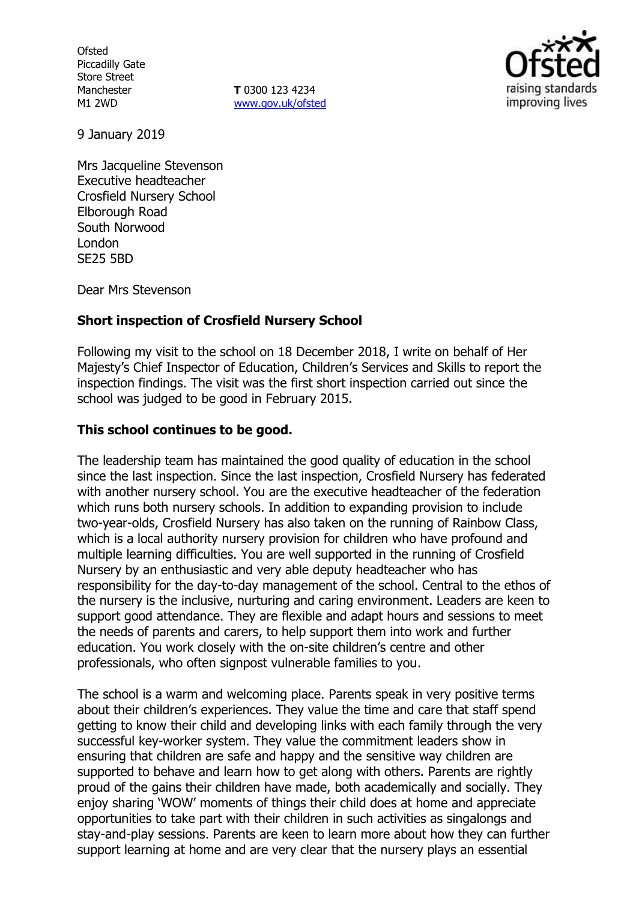**Ofsted** Piccadilly Gate Store Street Manchester M1 2WD

**T** 0300 123 4234 www.gov.uk/ofsted



9 January 2019

Mrs Jacqueline Stevenson Executive headteacher Crosfield Nursery School Elborough Road South Norwood London SE25 5BD

Dear Mrs Stevenson

## **Short inspection of Crosfield Nursery School**

Following my visit to the school on 18 December 2018, I write on behalf of Her Majesty's Chief Inspector of Education, Children's Services and Skills to report the inspection findings. The visit was the first short inspection carried out since the school was judged to be good in February 2015.

## **This school continues to be good.**

The leadership team has maintained the good quality of education in the school since the last inspection. Since the last inspection, Crosfield Nursery has federated with another nursery school. You are the executive headteacher of the federation which runs both nursery schools. In addition to expanding provision to include two-year-olds, Crosfield Nursery has also taken on the running of Rainbow Class, which is a local authority nursery provision for children who have profound and multiple learning difficulties. You are well supported in the running of Crosfield Nursery by an enthusiastic and very able deputy headteacher who has responsibility for the day-to-day management of the school. Central to the ethos of the nursery is the inclusive, nurturing and caring environment. Leaders are keen to support good attendance. They are flexible and adapt hours and sessions to meet the needs of parents and carers, to help support them into work and further education. You work closely with the on-site children's centre and other professionals, who often signpost vulnerable families to you.

The school is a warm and welcoming place. Parents speak in very positive terms about their children's experiences. They value the time and care that staff spend getting to know their child and developing links with each family through the very successful key-worker system. They value the commitment leaders show in ensuring that children are safe and happy and the sensitive way children are supported to behave and learn how to get along with others. Parents are rightly proud of the gains their children have made, both academically and socially. They enjoy sharing 'WOW' moments of things their child does at home and appreciate opportunities to take part with their children in such activities as singalongs and stay-and-play sessions. Parents are keen to learn more about how they can further support learning at home and are very clear that the nursery plays an essential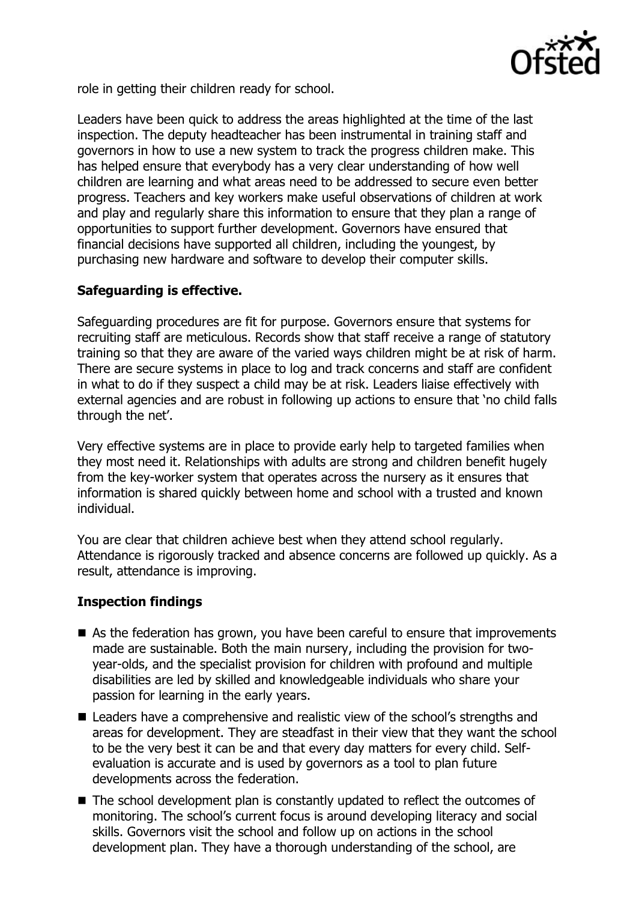

role in getting their children ready for school.

Leaders have been quick to address the areas highlighted at the time of the last inspection. The deputy headteacher has been instrumental in training staff and governors in how to use a new system to track the progress children make. This has helped ensure that everybody has a very clear understanding of how well children are learning and what areas need to be addressed to secure even better progress. Teachers and key workers make useful observations of children at work and play and regularly share this information to ensure that they plan a range of opportunities to support further development. Governors have ensured that financial decisions have supported all children, including the youngest, by purchasing new hardware and software to develop their computer skills.

# **Safeguarding is effective.**

Safeguarding procedures are fit for purpose. Governors ensure that systems for recruiting staff are meticulous. Records show that staff receive a range of statutory training so that they are aware of the varied ways children might be at risk of harm. There are secure systems in place to log and track concerns and staff are confident in what to do if they suspect a child may be at risk. Leaders liaise effectively with external agencies and are robust in following up actions to ensure that 'no child falls through the net'.

Very effective systems are in place to provide early help to targeted families when they most need it. Relationships with adults are strong and children benefit hugely from the key-worker system that operates across the nursery as it ensures that information is shared quickly between home and school with a trusted and known individual.

You are clear that children achieve best when they attend school regularly. Attendance is rigorously tracked and absence concerns are followed up quickly. As a result, attendance is improving.

## **Inspection findings**

- As the federation has grown, you have been careful to ensure that improvements made are sustainable. Both the main nursery, including the provision for twoyear-olds, and the specialist provision for children with profound and multiple disabilities are led by skilled and knowledgeable individuals who share your passion for learning in the early years.
- Leaders have a comprehensive and realistic view of the school's strengths and areas for development. They are steadfast in their view that they want the school to be the very best it can be and that every day matters for every child. Selfevaluation is accurate and is used by governors as a tool to plan future developments across the federation.
- The school development plan is constantly updated to reflect the outcomes of monitoring. The school's current focus is around developing literacy and social skills. Governors visit the school and follow up on actions in the school development plan. They have a thorough understanding of the school, are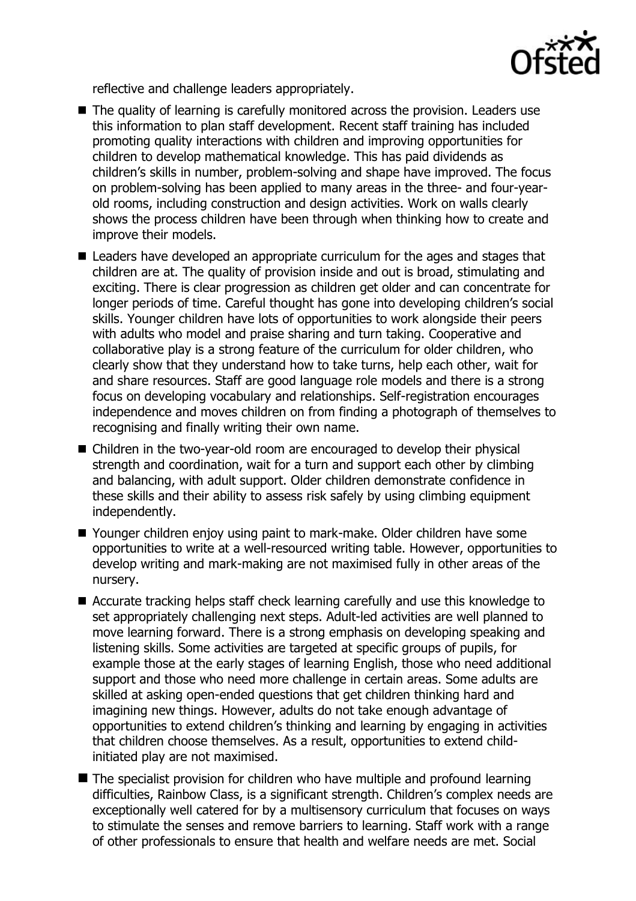

reflective and challenge leaders appropriately.

- The quality of learning is carefully monitored across the provision. Leaders use this information to plan staff development. Recent staff training has included promoting quality interactions with children and improving opportunities for children to develop mathematical knowledge. This has paid dividends as children's skills in number, problem-solving and shape have improved. The focus on problem-solving has been applied to many areas in the three- and four-yearold rooms, including construction and design activities. Work on walls clearly shows the process children have been through when thinking how to create and improve their models.
- Leaders have developed an appropriate curriculum for the ages and stages that children are at. The quality of provision inside and out is broad, stimulating and exciting. There is clear progression as children get older and can concentrate for longer periods of time. Careful thought has gone into developing children's social skills. Younger children have lots of opportunities to work alongside their peers with adults who model and praise sharing and turn taking. Cooperative and collaborative play is a strong feature of the curriculum for older children, who clearly show that they understand how to take turns, help each other, wait for and share resources. Staff are good language role models and there is a strong focus on developing vocabulary and relationships. Self-registration encourages independence and moves children on from finding a photograph of themselves to recognising and finally writing their own name.
- Children in the two-year-old room are encouraged to develop their physical strength and coordination, wait for a turn and support each other by climbing and balancing, with adult support. Older children demonstrate confidence in these skills and their ability to assess risk safely by using climbing equipment independently.
- Younger children enjoy using paint to mark-make. Older children have some opportunities to write at a well-resourced writing table. However, opportunities to develop writing and mark-making are not maximised fully in other areas of the nursery.
- Accurate tracking helps staff check learning carefully and use this knowledge to set appropriately challenging next steps. Adult-led activities are well planned to move learning forward. There is a strong emphasis on developing speaking and listening skills. Some activities are targeted at specific groups of pupils, for example those at the early stages of learning English, those who need additional support and those who need more challenge in certain areas. Some adults are skilled at asking open-ended questions that get children thinking hard and imagining new things. However, adults do not take enough advantage of opportunities to extend children's thinking and learning by engaging in activities that children choose themselves. As a result, opportunities to extend childinitiated play are not maximised.
- The specialist provision for children who have multiple and profound learning difficulties, Rainbow Class, is a significant strength. Children's complex needs are exceptionally well catered for by a multisensory curriculum that focuses on ways to stimulate the senses and remove barriers to learning. Staff work with a range of other professionals to ensure that health and welfare needs are met. Social